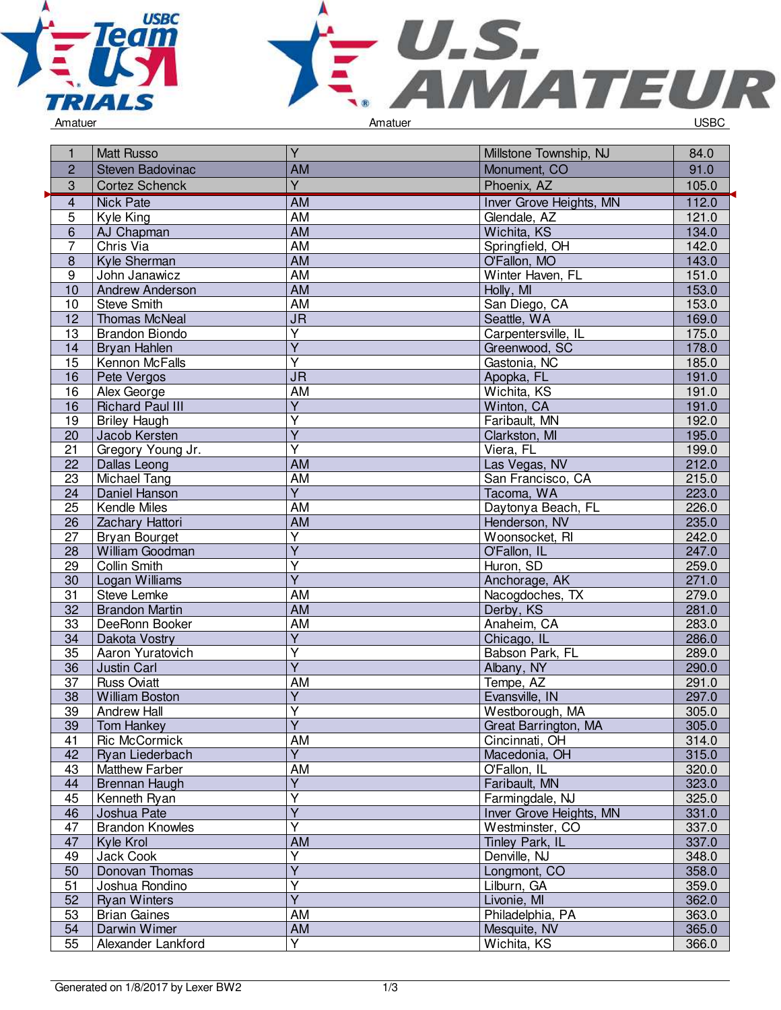



1 Matt Russo Y Y Millstone Township, NJ 84.0 2 Steven Badovinac 2 AM AM Monument, CO 91.0 3 Cortez Schenck Y V Phoenix, AZ 105.0 4 Nick Pate 112.0<br>
4 Nick Pate 112.0<br>
4 Nick Pate 121.0<br>
4 Nick Pate 121.0<br>
4 Nick Pate 121.0 5 Kyle King **AM** AM Glendale, AZ 121.0 E AJ Chapman **AM** Wichita, KS 134.0<br>
T Chris Via **AM** Springfield, OH 142.0 7 Chris Via AM AM Springfield, OH 142.0<br>
8 Kyle Sherman AM O'Fallon, MO 143.0 8 Kyle Sherman **AM** O'Fallon, MO 143.0<br>
9 John Janawicz **AM** Winter Haven, FL 151.0 Winter Haven, FL<br>Holly, MI 10 Andrew Anderson Mam AM Holly, MI 153.0 153.0 153.0 153.0 153.0 153.0 153.0 153.0 153.0 153.0 153.0 153.0 153.0 153.0 153.0 153.0 153.0 153.0 153.0 153.0 153.0 153.0 153.0 153.0 153.0 153.0 153.0 153.0 153.0 153.0 153.0 10 Steve Smith AM AM San Diego, CA 153.0<br>12 Thomas McNeal JR Seattle, WA 169.0 12 Thomas McNeal JR JR Seattle, WA 169.0<br>13 Brandon Biondo Y Carpentersville, IL 175.0 Brandon Biondo Y Carpentersville, IL 175.0<br>
Y Greenwood, SC 178.0 14 Bryan Hahlen<br>15 Kennon McFa Y Greenwood, SC<br>
Y Gastonia. NC Kennon McFalls y<br>
The Contract of Castonia, NC 185.0<br>
Superior Contract Apopka, FL 191.0 16 Pete Vergos JR JR Apopka, FL 191.0 16 Alex George **AM AM Wichita, KS** 191.0<br>16 Richard Paul III Y Winton, CA 191.0 16 Richard Paul III<br>19 Briley Haugh Y Winton, CA 191.0<br>
Y Faribault, MN 192.0 **Briley Haugh** Y Faribault, MN 192.0<br>Y Clarkston, MI 195.0 20 Jacob Kersten<br>21 Gregory Young Y Clarkston, MI 195.0<br>Y Viera, FL 199.0 21 Gregory Young Jr.<br>22 Dallas Leong Y<br>
Viera, FL 199.0<br>
AM Las Vegas, NV 212.0 22 Dallas Leong **AM** AM Las Vegas, NV 212.0<br>23 Michael Tang **AM** AM San Francisco. CA 215.0 23 Michael Tang AM San Francisco, CA 215.0 Daniel Hanson<br>Kendle Miles Y Tacoma, WA<br>AM Daytonya Bea 25 Kendle Miles **AM** AM Daytonya Beach, FL 226.0 26 Zachary Hattori **AM** AM Henderson, NV 235.0 27 Bryan Bourget<br>28 William Goodm Y Noonsocket, RI 242.0<br>Y C'Fallon. IL 247.0 28 William Goodman<br>29 Collin Smith Y C'Eallon, IL 247.0<br>
Y Huron, SD 259.0 Collin Smith Y<br>
Y Huron, SD<br>
Anchorage 30 Logan Williams<br>31 Steve Lemke Anchorage, AK 271.0 31 Steve Lemke 279.0<br>32 Brandon Martin **AM Nacogdoches, TX 279.0**<br>32 Brandon Martin **AM Nacogdoches, TX** 281.0 32 Brandon Martin **AM AM Derby, KS** 281.0<br>33 DeeRonn Booker AM AM Anaheim, CA 283.0 33 DeeRonn Booker **AM Anaheim, CA 283.0**<br>34 Dakota Vostry Y Y Chicago, IL 286.0 34 Dakota Vostry<br>35 Aaron Yuratovi Y Chicago, IL 286.0<br>
Y Babson Park, FL 289.0 Aaron Yuratovich Y Babson Park, FL 289.0<br>Y Albany, NY 290.0 36 Justin Carl<br>37 Russ Oviatt Y Albany, NY<br>AM Tempe, AZ 37 Russ Oviatt AM Tempe, AZ 291.0 38 William Boston<br>39 Andrew Hall Y Evansville, IN 297.0<br>
Y Westborough MA 305.0 39 Andrew Hall<br>39 Tom Hankey Y Westborough, MA 305.0<br>
Y Great Barrington, MA 305.0 **Tom Hankey** Great Barrington, MA 41 Ric McCormick AM AM Cincinnati, OH 314.0 42 Ryan Liederbach<br>43 Matthew Farber Y Macedonia, OH 315.0<br>AM O'Fallon, IL 320.0 43 Matthew Farber AM O'Fallon, IL 320.0 44 Brennan Haugh<br>45 Kenneth Ryan Y Faribault, MN 323.0<br>
Y Farmingdale, NJ 325.0 45 Kenneth Ryan<br>46 Joshua Pate Y<br>
Y Farmingdale, NJ 325.0<br>
Y Inver Grove Heights, MN 331.0 Joshua Pate Y<br>
Y Inver Grove Heights, MN 331.0<br>
Y Westminster, CO 337.0 47 | Brandon Knowles Y Westminster, CO 337.0 47 Kyle Krol **AM Tinley Park, IL 337.0**<br>49 Jack Cook **New York Report AM Times Advisor** Denville, NJ 348.0 49 Jack Cook<br>50 Donovan T Y Denville, NJ<br>
Y Longmont, ( Donovan Thomas Y Longmont, CO 358.0<br>
Y Lilburn, GA 359.0 51 Joshua Rondino Y Lilburn, GA 359.0<br>The State of Lilburn, GA 359.0<br>Clilophie, MI 362.0 52 Ryan Winters<br>53 Brian Gaines V Livonie, MI 362.0<br>AM Philadelphia, PA 363.0 53 Brian Gaines **AM AM Philadelphia, PA 363.0**<br>54 Darwin Wimer **AM AM Mesquite, NV 365.0** 54 Darwin Wimer AM Mesquite, NV 365.0 55 Alexander Lankford Y Wichita, KS 366.0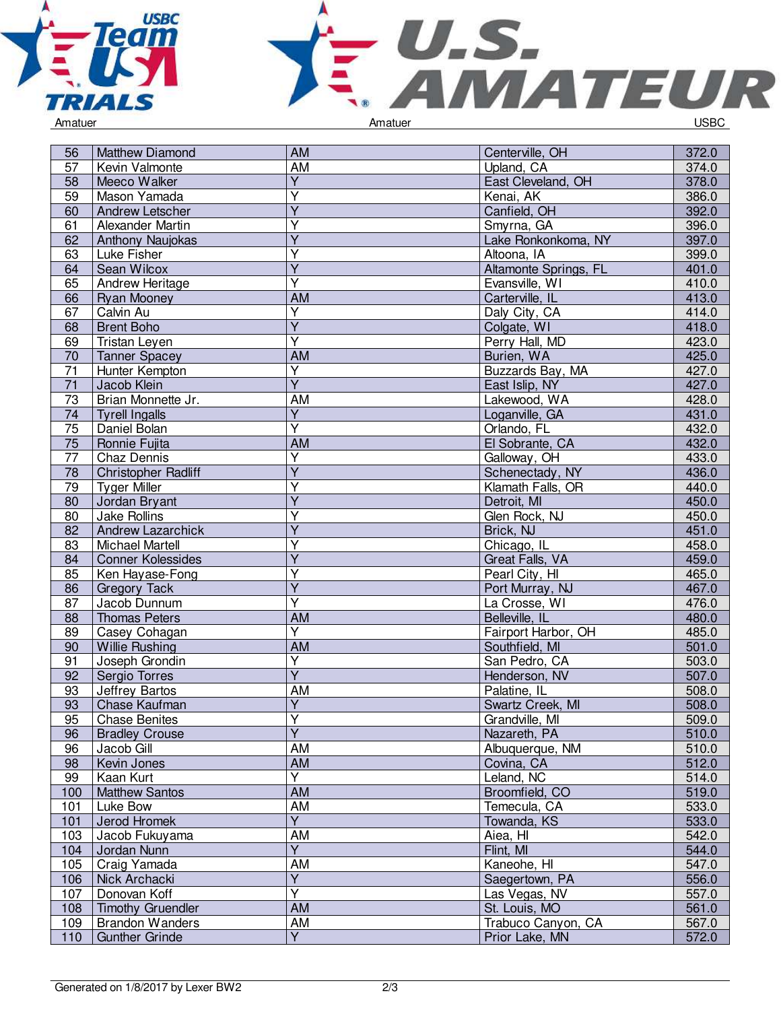



| 56  | Matthew Diamond          | <b>AM</b>               | Centerville, OH       | 372.0 |
|-----|--------------------------|-------------------------|-----------------------|-------|
| 57  | Kevin Valmonte           | AM                      | Upland, CA            | 374.0 |
| 58  | Meeco Walker             | Y                       | East Cleveland, OH    | 378.0 |
| 59  | Mason Yamada             | $\overline{\mathsf{Y}}$ | Kenai, AK             | 386.0 |
| 60  | Andrew Letscher          | $\overline{Y}$          | Canfield, OH          | 392.0 |
| 61  | Alexander Martin         | Y                       | Smyrna, GA            | 396.0 |
| 62  | Anthony Naujokas         | $\overline{\mathsf{Y}}$ | Lake Ronkonkoma, NY   | 397.0 |
| 63  | Luke Fisher              | $\overline{Y}$          | Altoona, IA           | 399.0 |
| 64  | Sean Wilcox              | $\overline{Y}$          | Altamonte Springs, FL | 401.0 |
| 65  | <b>Andrew Heritage</b>   | $\overline{Y}$          | Evansville, WI        | 410.0 |
| 66  | <b>Ryan Mooney</b>       | AM                      | Carterville, IL       | 413.0 |
| 67  | Calvin Au                | Y                       | Daly City, CA         | 414.0 |
| 68  | <b>Brent Boho</b>        | Y                       | Colgate, WI           | 418.0 |
| 69  | Tristan Leyen            | $\overline{\mathsf{Y}}$ | Perry Hall, MD        | 423.0 |
| 70  | <b>Tanner Spacey</b>     | <b>AM</b>               | Burien, WA            | 425.0 |
| 71  | Hunter Kempton           | Υ                       | Buzzards Bay, MA      | 427.0 |
| 71  | Jacob Klein              | $\overline{Y}$          | East Islip, NY        | 427.0 |
| 73  | Brian Monnette Jr.       | AM                      | Lakewood, WA          | 428.0 |
| 74  | <b>Tyrell Ingalls</b>    | $\overline{Y}$          | Loganville, GA        | 431.0 |
| 75  | Daniel Bolan             | $\overline{Y}$          | Orlando, FL           | 432.0 |
| 75  | Ronnie Fujita            | AM                      | El Sobrante, CA       | 432.0 |
| 77  | Chaz Dennis              | $\overline{\mathsf{Y}}$ | Galloway, OH          | 433.0 |
| 78  | Christopher Radliff      | Y                       | Schenectady, NY       | 436.0 |
|     |                          | Υ                       |                       | 440.0 |
| 79  | <b>Tyger Miller</b>      | $\overline{Y}$          | Klamath Falls, OR     | 450.0 |
| 80  | Jordan Bryant            | Ÿ                       | Detroit, MI           |       |
| 80  | <b>Jake Rollins</b>      | $\overline{\mathsf{Y}}$ | Glen Rock, NJ         | 450.0 |
| 82  | <b>Andrew Lazarchick</b> |                         | Brick, NJ             | 451.0 |
| 83  | <b>Michael Martell</b>   | Υ                       | Chicago, IL           | 458.0 |
| 84  | <b>Conner Kolessides</b> | $\overline{\mathsf{Y}}$ | Great Falls, VA       | 459.0 |
| 85  | Ken Hayase-Fong          | $\overline{Y}$          | Pearl City, HI        | 465.0 |
| 86  | <b>Gregory Tack</b>      | $\overline{Y}$          | Port Murray, NJ       | 467.0 |
| 87  | Jacob Dunnum             | $\overline{Y}$          | La Crosse, WI         | 476.0 |
| 88  | <b>Thomas Peters</b>     | AM                      | Belleville, IL        | 480.0 |
| 89  | Casey Cohagan            | Y                       | Fairport Harbor, OH   | 485.0 |
| 90  | <b>Willie Rushing</b>    | <b>AM</b>               | Southfield, MI        | 501.0 |
| 91  | Joseph Grondin           | $\overline{Y}$          | San Pedro, CA         | 503.0 |
| 92  | Sergio Torres            | $\overline{Y}$          | Henderson, NV         | 507.0 |
| 93  | Jeffrey Bartos           | AM                      | Palatine, IL          | 508.0 |
| 93  | Chase Kaufman            | $\overline{\mathsf{Y}}$ | Swartz Creek, MI      | 508.0 |
| 95  | <b>Chase Benites</b>     | $\overline{Y}$          | Grandville, MI        | 509.0 |
| 96  | <b>Bradley Crouse</b>    | $\overline{Y}$          | Nazareth, PA          | 510.0 |
| 96  | Jacob Gill               | AM                      | Albuquerque, NM       | 510.0 |
| 98  | Kevin Jones              | AM                      | Covina, CA            | 512.0 |
| 99  | Kaan Kurt                | Y                       | Leland, NC            | 514.0 |
| 100 | <b>Matthew Santos</b>    | <b>AM</b>               | Broomfield, CO        | 519.0 |
| 101 | Luke Bow                 | <b>AM</b>               | Temecula, CA          | 533.0 |
| 101 | Jerod Hromek             | $\overline{Y}$          | Towanda, KS           | 533.0 |
| 103 | Jacob Fukuyama           | <b>AM</b>               | Aiea, HI              | 542.0 |
| 104 | Jordan Nunn              | $\overline{Y}$          | Flint, MI             | 544.0 |
| 105 | Craig Yamada             | AM                      | Kaneohe, HI           | 547.0 |
| 106 | Nick Archacki            | $\overline{Y}$          | Saegertown, PA        | 556.0 |
| 107 | Donovan Koff             | $\overline{\mathsf{Y}}$ | Las Vegas, NV         | 557.0 |
| 108 | <b>Timothy Gruendler</b> | AM                      | St. Louis, MO         | 561.0 |
| 109 | <b>Brandon Wanders</b>   | AM                      | Trabuco Canyon, CA    | 567.0 |
| 110 | <b>Gunther Grinde</b>    | $\overline{Y}$          | Prior Lake, MN        | 572.0 |